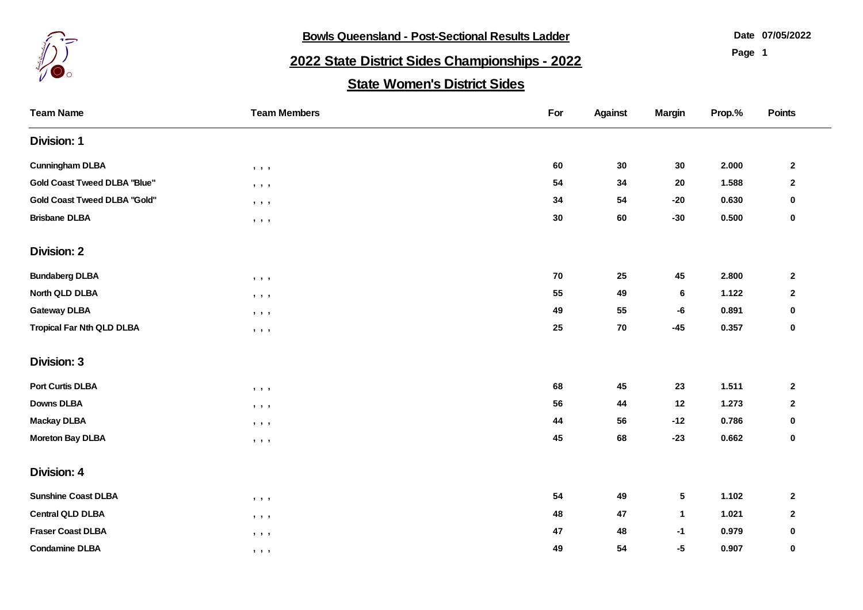

**Bowls Queensland - Post-Sectional Results Ladder** 

**07/05/2022**

**Page 1**

## **2022 State District Sides Championships - 2022**

## **State Women's District Sides**

| <b>Team Name</b>                    | <b>Team Members</b>                                   | For       | <b>Against</b> | <b>Margin</b> | Prop.% | Points                  |
|-------------------------------------|-------------------------------------------------------|-----------|----------------|---------------|--------|-------------------------|
| <b>Division: 1</b>                  |                                                       |           |                |               |        |                         |
| <b>Cunningham DLBA</b>              | $\bullet\quad \bullet\quad \bullet$                   | 60        | 30             | 30            | 2.000  | $\overline{\mathbf{2}}$ |
| <b>Gold Coast Tweed DLBA "Blue"</b> | $\bullet\quad \bullet\quad \bullet$                   | 54        | 34             | 20            | 1.588  | $\mathbf 2$             |
| <b>Gold Coast Tweed DLBA "Gold"</b> | $\,$ , $\,$ , $\,$ ,                                  | 34        | 54             | $-20$         | 0.630  | $\bf{0}$                |
| <b>Brisbane DLBA</b>                | $\mathbf{J}=\mathbf{J}=\mathbf{J}$                    | $\bf{30}$ | 60             | $-30$         | 0.500  | $\bf{0}$                |
| <b>Division: 2</b>                  |                                                       |           |                |               |        |                         |
| <b>Bundaberg DLBA</b>               | $\qquad \qquad , \qquad \qquad ,$                     | 70        | 25             | 45            | 2.800  | $\overline{\mathbf{2}}$ |
| North QLD DLBA                      | $\mathbf{y}=\mathbf{y}=\mathbf{y}$                    | 55        | 49             | $\bf 6$       | 1.122  | $\mathbf 2$             |
| <b>Gateway DLBA</b>                 | $\begin{array}{cccccccccc} 1 & 1 & 1 & 1 \end{array}$ | 49        | 55             | -6            | 0.891  | $\mathbf 0$             |
| <b>Tropical Far Nth QLD DLBA</b>    | $\begin{array}{cccccccccc} 1 & 1 & 1 & 1 \end{array}$ | 25        | 70             | $-45$         | 0.357  | $\pmb{0}$               |
| <b>Division: 3</b>                  |                                                       |           |                |               |        |                         |
| <b>Port Curtis DLBA</b>             | $\qquad \qquad , \qquad \qquad ,$                     | 68        | 45             | 23            | 1.511  | $\mathbf 2$             |
| <b>Downs DLBA</b>                   | $\bullet\quad\bullet\quad\bullet$                     | 56        | 44             | 12            | 1.273  | $\mathbf{2}$            |
| <b>Mackay DLBA</b>                  | $\bullet\quad \bullet\quad \bullet$                   | 44        | 56             | $-12$         | 0.786  | 0                       |
| <b>Moreton Bay DLBA</b>             | , , ,                                                 | 45        | 68             | $-23$         | 0.662  | $\mathbf 0$             |
| <b>Division: 4</b>                  |                                                       |           |                |               |        |                         |
| <b>Sunshine Coast DLBA</b>          | $\mathbf{y}=\mathbf{y}=\mathbf{y}$                    | 54        | 49             | 5             | 1.102  | $\mathbf{2}$            |
| <b>Central QLD DLBA</b>             | $\qquad \qquad , \qquad \qquad ,$                     | 48        | 47             | $\mathbf{1}$  | 1.021  | $\mathbf 2$             |
| <b>Fraser Coast DLBA</b>            | $\qquad \qquad , \qquad \qquad ,$                     | 47        | 48             | $-1$          | 0.979  | $\pmb{0}$               |
| <b>Condamine DLBA</b>               | $\qquad \qquad \bullet \qquad \bullet$                | 49        | 54             | $-5$          | 0.907  | $\bf{0}$                |